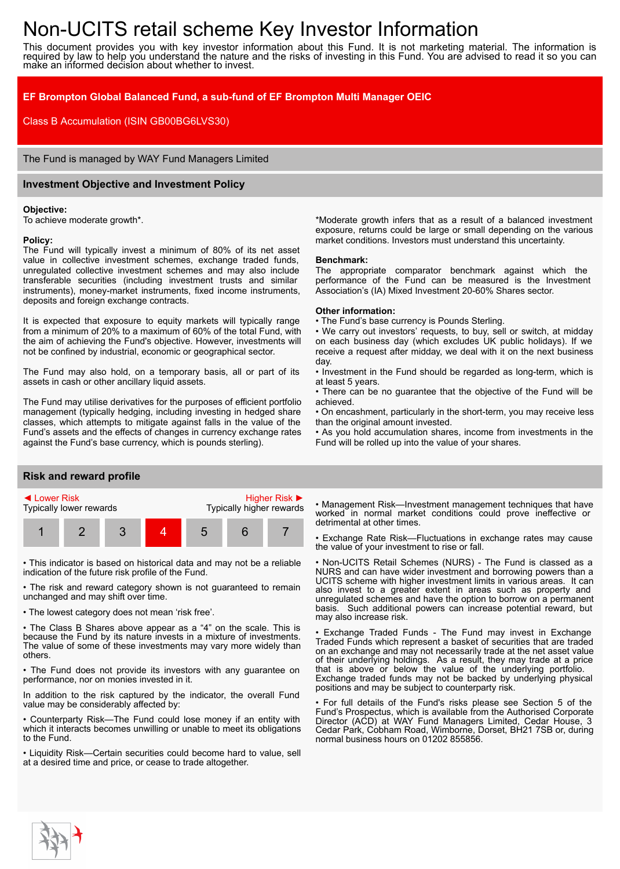# Non-UCITS retail scheme Key Investor Information

This document provides you with key investor information about this Fund. It is not marketing material. The information is required by law to help you understand the nature and the risks of investing in this Fund. You are advised to read it so you can make an informed decision about whether to invest.

# **EF Brompton Global Balanced Fund, a sub-fund of EF Brompton Multi Manager OEIC**

Class B Accumulation (ISIN GB00BG6LVS30)

The Fund is managed by WAY Fund Managers Limited

## **Investment Objective and Investment Policy**

#### **Objective:**

To achieve moderate growth\*.

#### **Policy:**

The Fund will typically invest a minimum of 80% of its net asset value in collective investment schemes, exchange traded funds, unregulated collective investment schemes and may also include transferable securities (including investment trusts and similar instruments), money-market instruments, fixed income instruments, deposits and foreign exchange contracts.

It is expected that exposure to equity markets will typically range from a minimum of 20% to a maximum of 60% of the total Fund, with the aim of achieving the Fund's objective. However, investments will not be confined by industrial, economic or geographical sector.

The Fund may also hold, on a temporary basis, all or part of its assets in cash or other ancillary liquid assets.

The Fund may utilise derivatives for the purposes of efficient portfolio management (typically hedging, including investing in hedged share classes, which attempts to mitigate against falls in the value of the Fund's assets and the effects of changes in currency exchange rates against the Fund's base currency, which is pounds sterling).

\*Moderate growth infers that as a result of a balanced investment exposure, returns could be large or small depending on the various market conditions. Investors must understand this uncertainty.

#### **Benchmark:**

The appropriate comparator benchmark against which the performance of the Fund can be measured is the Investment Association's (IA) Mixed Investment 20-60% Shares sector.

#### **Other information:**

- The Fund's base currency is Pounds Sterling.
- We carry out investors' requests, to buy, sell or switch, at midday on each business day (which excludes UK public holidays). If we receive a request after midday, we deal with it on the next business day.
- Investment in the Fund should be regarded as long-term, which is at least 5 years.
- There can be no guarantee that the objective of the Fund will be achieved.
- On encashment, particularly in the short-term, you may receive less than the original amount invested.
- As you hold accumulation shares, income from investments in the Fund will be rolled up into the value of your shares.

## **Risk and reward profile**



• This indicator is based on historical data and may not be a reliable indication of the future risk profile of the Fund.

• The risk and reward category shown is not guaranteed to remain unchanged and may shift over time.

• The lowest category does not mean 'risk free'.

• The Class B Shares above appear as a "4" on the scale. This is because the Fund by its nature invests in a mixture of investments. The value of some of these investments may vary more widely than others.

• The Fund does not provide its investors with any guarantee on performance, nor on monies invested in it.

In addition to the risk captured by the indicator, the overall Fund value may be considerably affected by:

• Counterparty Risk—The Fund could lose money if an entity with which it interacts becomes unwilling or unable to meet its obligations to the Fund.

• Liquidity Risk—Certain securities could become hard to value, sell at a desired time and price, or cease to trade altogether.

• Management Risk—Investment management techniques that have worked in normal market conditions could prove ineffective or detrimental at other times.

• Exchange Rate Risk—Fluctuations in exchange rates may cause the value of your investment to rise or fall.

• Non-UCITS Retail Schemes (NURS) - The Fund is classed as a NURS and can have wider investment and borrowing powers than a UCITS scheme with higher investment limits in various areas. It can also invest to a greater extent in areas such as property and unregulated schemes and have the option to borrow on a permanent basis. Such additional powers can increase potential reward, but may also increase risk.

• Exchange Traded Funds - The Fund may invest in Exchange Traded Funds which represent a basket of securities that are traded on an exchange and may not necessarily trade at the net asset value of their underlying holdings. As a result, they may trade at a price that is above or below the value of the underlying portfolio. Exchange traded funds may not be backed by underlying physical positions and may be subject to counterparty risk.

• For full details of the Fund's risks please see Section 5 of the Fund's Prospectus, which is available from the Authorised Corporate Director (ACD) at WAY Fund Managers Limited, Cedar House, 3 Cedar Park, Cobham Road, Wimborne, Dorset, BH21 7SB or, during normal business hours on 01202 855856.